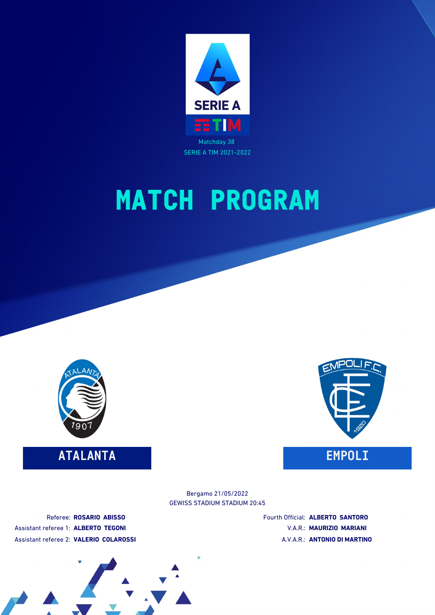



### **ATALANTA EMPOLI**



#### GEWISS STADIUM STADIUM 20:45 Bergamo 21/05/2022

Referee: **ROSARIO ABISSO** Assistant referee 1: **ALBERTO TEGONI** Assistant referee 2: **VALERIO COLAROSSI** Fourth Official: **ALBERTO SANTORO** V.A.R.: **MAURIZIO MARIANI** A.V.A.R.: **ANTONIO DI MARTINO**

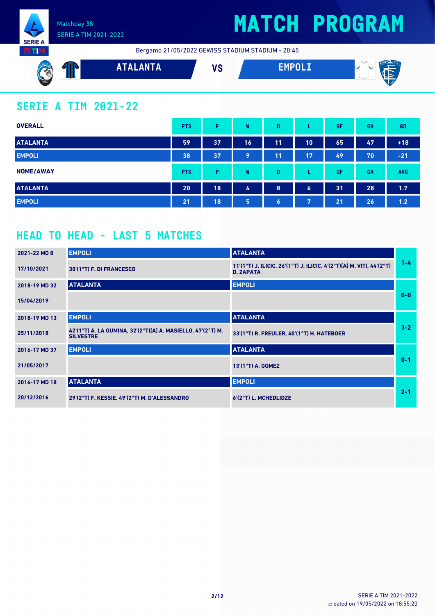

**NITE** 

#### Matchday 38 SERIE A TIM 2021-2022

## **MATCH PROGRAM**

Bergamo 21/05/2022 GEWISS STADIUM STADIUM - 20:45



### **SERIE A TIM 2021-22**

| <b>OVERALL</b>   | <b>PTS</b> | P  | W  | D         |                  | GF | GA | <b>GD</b>  |
|------------------|------------|----|----|-----------|------------------|----|----|------------|
| <b>ATALANTA</b>  | 59         | 37 | 16 | 11        | 10               | 65 | 47 | $+18$      |
| <b>EMPOLI</b>    | 38         | 37 | 9  | 11        | 17               | 49 | 70 | $-21$      |
| <b>HOME/AWAY</b> | <b>PTS</b> | P  | W  | D         |                  | GF | GA | <b>AVG</b> |
| <b>ATALANTA</b>  | 20         | 18 | 4  | 8         | $\boldsymbol{6}$ | 31 | 28 | 1.7        |
| <b>EMPOLI</b>    | 21         | 18 | 5  | $\bullet$ | 7                | 21 | 26 | 1.2        |

### **HEAD TO HEAD - LAST 5 MATCHES**

| 2021-22 MD 8  | <b>EMPOLI</b>                                                                   | <b>ATALANTA</b>                                                                          |         |
|---------------|---------------------------------------------------------------------------------|------------------------------------------------------------------------------------------|---------|
| 17/10/2021    | 30'(1°T) F. DI FRANCESCO                                                        | 11'(1°T) J. ILICIC, 26'(1°T) J. ILICIC, 4'(2°T)[A] M. VITI, 44'(2°T)<br><b>D. ZAPATA</b> | $1 - 4$ |
| 2018-19 MD 32 | <b>ATALANTA</b>                                                                 | <b>EMPOLI</b>                                                                            |         |
| 15/04/2019    |                                                                                 |                                                                                          | $0 - 0$ |
| 2018-19 MD 13 | <b>EMPOLI</b>                                                                   | <b>ATALANTA</b>                                                                          |         |
| 25/11/2018    | 42'(1°T) A. LA GUMINA, 32'(2°T)[A] A. MASIELLO, 47'(2°T) M.<br><b>SILVESTRE</b> | 33'(1°T) R. FREULER, 40'(1°T) H. HATEBOER                                                | $3 - 2$ |
| 2016-17 MD 37 | <b>EMPOLI</b>                                                                   | <b>ATALANTA</b>                                                                          |         |
| 21/05/2017    |                                                                                 | 13'(1°T) A. GOMEZ                                                                        | $0 - 1$ |
| 2016-17 MD 18 | <b>ATALANTA</b>                                                                 | <b>EMPOLI</b>                                                                            |         |
| 20/12/2016    | 29'(2°T) F. KESSIE, 49'(2°T) M. D'ALESSANDRO                                    | 6'(2°T) L. MCHEDLIDZE                                                                    | $2 - 1$ |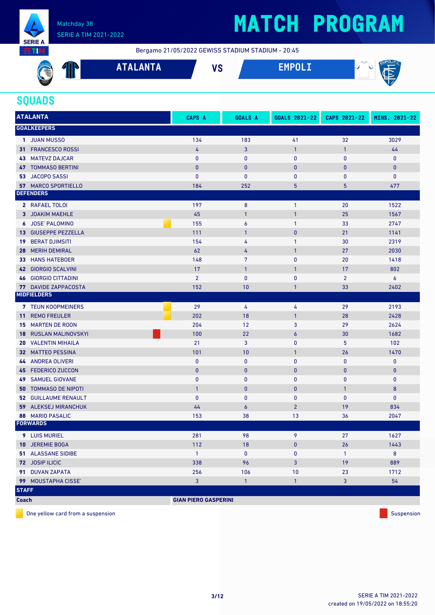

Bergamo 21/05/2022 GEWISS STADIUM STADIUM - 20:45

| to the second control in the second control in the second control in the second control in the second control in the second control in the second control in the second control in the second control in the second control in<br>$\sim$ | <b>Contract</b> | <b>TAI ANTA</b><br>AIAL<br>א ו זור | $\mathbf{u}$<br>v c | <b>CM</b><br>∽<br>.a |
|------------------------------------------------------------------------------------------------------------------------------------------------------------------------------------------------------------------------------------------|-----------------|------------------------------------|---------------------|----------------------|
| 1907.                                                                                                                                                                                                                                    |                 |                                    |                     | ⊾ I ∡                |

### **SQUADS**

| <b>ATALANTA</b>                 | CAPS A                      | <b>GOALS A</b>   | GOALS 2021-22  | CAPS 2021-22   | MINS. 2021-22 |
|---------------------------------|-----------------------------|------------------|----------------|----------------|---------------|
| <b>GOALKEEPERS</b>              |                             |                  |                |                |               |
| 1 JUAN MUSSO                    | 134                         | 183              | 41             | 32             | 3029          |
| <b>FRANCESCO ROSSI</b><br>31.   | 4                           | 3                | $\mathbf{1}$   | $\mathbf{1}$   | 44            |
| <b>MATEVZ DAJCAR</b><br>43      | $\bf{0}$                    | $\mathbf 0$      | 0              | 0              | $\mathbf 0$   |
| <b>47 TOMMASO BERTINI</b>       | $\bf{0}$                    | $\mathbf{0}$     | $\bf{0}$       | 0              | $\bf{0}$      |
| <b>JACOPO SASSI</b><br>53       | $\mathbf{0}$                | $\mathbf{0}$     | 0              | 0              | $\mathbf 0$   |
| <b>57 MARCO SPORTIELLO</b>      | 184                         | 252              | 5              | 5              | 477           |
| <b>DEFENDERS</b>                |                             |                  |                |                |               |
| 2 RAFAEL TOLOI                  | 197                         | 8                | 1              | 20             | 1522          |
| 3 JOAKIM MAEHLE                 | 45                          | $\mathbf{1}$     | $\mathbf{1}$   | 25             | 1567          |
| 6 JOSE' PALOMINO                | 155                         | 6                | 1              | 33             | 2747          |
| 13 GIUSEPPE PEZZELLA            | 111                         | $\overline{1}$   | $\pmb{0}$      | 21             | 1141          |
| <b>BERAT DJIMSITI</b><br>19     | 154                         | 4                | 1              | 30             | 2319          |
| <b>MERIH DEMIRAL</b><br>28      | 62                          | 4                | 1              | 27             | 2030          |
| <b>HANS HATEBOER</b><br>33      | 148                         | 7                | $\mathbf{0}$   | 20             | 1418          |
| 42 GIORGIO SCALVINI             | 17                          | $\mathbf{1}$     | 1              | 17             | 802           |
| <b>46 GIORGIO CITTADINI</b>     | $\overline{2}$              | $\mathbf{0}$     | $\bf{0}$       | $\overline{2}$ | 6             |
| <b>77 DAVIDE ZAPPACOSTA</b>     | 152                         | 10               | 1              | 33             | 2402          |
| <b>MIDFIELDERS</b>              |                             |                  |                |                |               |
| 7 TEUN KOOPMEINERS              | 29                          | 4                | 4              | 29             | 2193          |
| <b>REMO FREULER</b><br>11       | 202                         | 18               | $\mathbf{1}$   | 28             | 2428          |
| <b>MARTEN DE ROON</b><br>15     | 204                         | 12               | 3              | 29             | 2624          |
| <b>RUSLAN MALINOVSKYI</b><br>18 | 100                         | 22               | 6              | 30             | 1682          |
| <b>VALENTIN MIHAILA</b><br>20   | 21                          | 3                | 0              | 5              | 102           |
| <b>32 MATTEO PESSINA</b>        | 101                         | 10               | 1              | 26             | 1470          |
| 44 ANDREA OLIVERI               | $\pmb{0}$                   | $\mathbf 0$      | $\mathbf{0}$   | 0              | $\mathbf 0$   |
| 45 FEDERICO ZUCCON              | $\mathbf{0}$                | $\mathbf{0}$     | $\bf{0}$       | $\bf{0}$       | $\bf{0}$      |
| <b>SAMUEL GIOVANE</b><br>49     | $\mathbf{0}$                | $\mathbf{0}$     | 0              | 0              | 0             |
| <b>TOMMASO DE NIPOTI</b><br>50  | $\overline{1}$              | $\mathbf{0}$     | $\pmb{0}$      | $\mathbf{1}$   | 8             |
| <b>52 GUILLAUME RENAULT</b>     | $\bf{0}$                    | $\mathbf{0}$     | 0              | 0              | $\mathbf 0$   |
| 59<br><b>ALEKSEJ MIRANCHUK</b>  | 44                          | $\boldsymbol{6}$ | $\overline{2}$ | 19             | 834           |
| <b>88 MARIO PASALIC</b>         | 153                         | 38               | 13             | 36             | 2047          |
| <b>FORWARDS</b>                 |                             |                  |                |                |               |
| 9 LUIS MURIEL                   | 281                         | 98               | 9              | 27             | 1627          |
| <b>10 JEREMIE BOGA</b>          | 112                         | 18               | 0              | 26             | 1443          |
| <b>51 ALASSANE SIDIBE</b>       | $\mathbf{1}$                | $\mathbf 0$      | 0              | $\mathbf{1}$   | 8             |
| 72 JOSIP ILICIC                 | 338                         | 96               | 3              | 19             | 889           |
| 91 DUVAN ZAPATA                 | 256                         | 106              | 10             | 23             | 1712          |
| 99 MOUSTAPHA CISSE'             | $\overline{3}$              | $\mathbf{1}$     | $\mathbf{1}$   | 3              | 54            |
| <b>STAFF</b>                    |                             |                  |                |                |               |
| <b>Coach</b>                    | <b>GIAN PIERO GASPERINI</b> |                  |                |                |               |

One yellow card from a suspension Suspension Suspension Suspension Suspension Suspension Suspension Suspension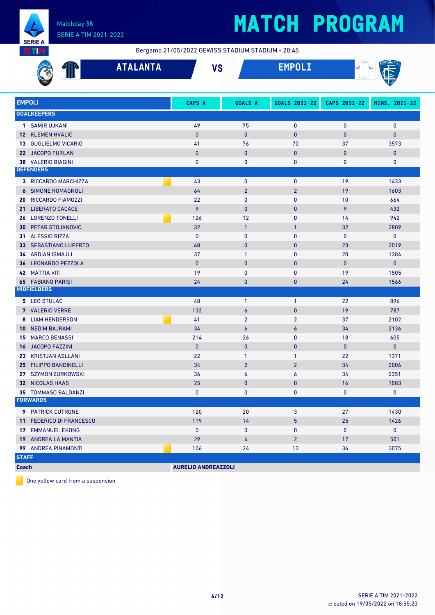

Bergamo 21/05/2022 GEWISS STADIUM STADIUM - 20:45

| <b>ATALANTA</b>                           |                            | <b>VS</b>        |                |              |               |  |
|-------------------------------------------|----------------------------|------------------|----------------|--------------|---------------|--|
| <b>EMPOLI</b>                             | CAPS A                     | <b>GOALS A</b>   | GOALS 2021-22  | CAPS 2021-22 | MINS. 2021-22 |  |
| <b>GOALKEEPERS</b>                        |                            |                  |                |              |               |  |
| 1 SAMIR UJKANI                            | 49                         | 75               | 0              | 0            | $\mathbf 0$   |  |
| <b>12 KLEMEN HVALIC</b>                   | $\mathbf{0}$               | $\mathbf{0}$     | $\mathbf{0}$   | $\mathbf{0}$ | $\mathbf{0}$  |  |
| <b>GUGLIELMO VICARIO</b><br>13            | 41                         | 76               | 70             | 37           | 3573          |  |
| 22 JACOPO FURLAN                          | $\mathbf{0}$               | $\pmb{0}$        | $\pmb{0}$      | $\bf{0}$     | 0             |  |
| <b>38 VALERIO BIAGINI</b>                 | $\bf{0}$                   | 0                | 0              | 0            | 0             |  |
| <b>DEFENDERS</b>                          |                            |                  |                |              |               |  |
| 3 RICCARDO MARCHIZZA                      | 43                         | $\mathbf 0$      | 0              | 19           | 1433          |  |
| SIMONE ROMAGNOLI<br>$\epsilon$            | 64                         | $\overline{2}$   | $\overline{2}$ | 19           | 1603          |  |
| <b>RICCARDO FIAMOZZI</b><br>20            | 22                         | $\mathbf 0$      | 0              | 10           | 664           |  |
| <b>LIBERATO CACACE</b><br>21 <sup>1</sup> | 9                          | $\mathbf{0}$     | $\mathbf{0}$   | 9            | 432           |  |
| <b>LORENZO TONELLI</b><br>26              | 126                        | 12               | $\mathbf 0$    | 14           | 942           |  |
| PETAR STOJANOVIC<br>30                    | 32                         | $\overline{1}$   | $\mathbf{1}$   | 32           | 2809          |  |
| <b>ALESSIO RIZZA</b><br>31                | $\mathbf{0}$               | $\mathbf{0}$     | $\mathbf{0}$   | $\mathbf{0}$ | $\mathbf 0$   |  |
| <b>SEBASTIANO LUPERTO</b><br>33           | 68                         | $\mathbf{0}$     | $\pmb{0}$      | 23           | 2019          |  |
| <b>34 ARDIAN ISMAJLI</b>                  | 37                         | $\mathbf{1}$     | $\mathbf{0}$   | 20           | 1384          |  |
| 36 LEONARDO PEZZOLA                       | $\mathbf{0}$               | $\mathbf{0}$     | $\pmb{0}$      | $\mathbf{0}$ | $\mathbf 0$   |  |
| <b>42 MATTIA VITI</b>                     | 19                         | $\mathbf{0}$     | 0              | 19           | 1505          |  |
| <b>65 FABIANO PARISI</b>                  | 24                         | $\mathbf 0$      | $\pmb{0}$      | 24           | 1566          |  |
| <b>MIDFIELDERS</b>                        |                            |                  |                |              |               |  |
| 5 LEO STULAC                              | 48                         | $\overline{1}$   | $\mathbf{1}$   | 22           | 896           |  |
| 7 VALERIO VERRE                           | 132                        | $\overline{6}$   | $\bf{0}$       | 19           | 787           |  |
| <b>LIAM HENDERSON</b><br>8                | 41                         | $\overline{2}$   | $\overline{2}$ | 37           | 2102          |  |
| <b>NEDIM BAJRAMI</b><br>10                | 34                         | $\boldsymbol{6}$ | $\epsilon$     | 34           | 2136          |  |
| <b>MARCO BENASSI</b><br>15                | 214                        | 26               | $\mathbf{0}$   | 18           | 605           |  |
| <b>JACOPO FAZZINI</b><br>16               | $\mathbf{0}$               | $\bf{0}$         | $\pmb{0}$      | $\mathbf{0}$ | $\mathbf{0}$  |  |
| 23 KRISTJAN ASLLANI                       | 22                         | $\mathbf{1}$     | $\mathbf{1}$   | 22           | 1371          |  |
| <b>FILIPPO BANDINELLI</b><br>25           | 34                         | $\overline{2}$   | $\overline{2}$ | 34           | 2006          |  |
| 27 SZYMON ZURKOWSKI                       | 36                         | 6                | 6              | 34           | 2351          |  |
| 32 NICOLAS HAAS                           | 25                         | $\pmb{0}$        | $\bf{0}$       | 16           | 1083          |  |
| 35 TOMMASO BALDANZI                       | 0                          | 0                | $\mathbf 0$    | 0            | $\mathbf 0$   |  |
| <b>FORWARDS</b>                           |                            |                  |                |              |               |  |
| 9 PATRICK CUTRONE                         | 120                        | 20               | 3              | 27           | 1430          |  |
| 11 FEDERICO DI FRANCESCO                  | 119                        | 14               | 5              | 25           | 1426          |  |
| <b>17 EMMANUEL EKONG</b>                  | $\bf{0}$                   | $\mathbf 0$      | 0              | 0            | $\mathbf 0$   |  |
| 19 ANDREA LA MANTIA                       | 29                         | 4                | $\overline{2}$ | 17           | 501           |  |
| 99 ANDREA PINAMONTI                       | 106                        | 24               | 13             | 36           | 3075          |  |
| <b>STAFF</b>                              |                            |                  |                |              |               |  |
| <b>Coach</b>                              | <b>AURELIO ANDREAZZOLI</b> |                  |                |              |               |  |

One yellow card from a suspension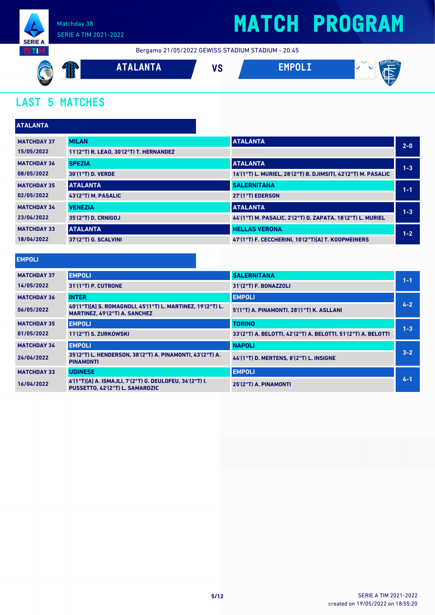

Bergamo 21/05/2022 GEWISS STADIUM STADIUM - 20:45



### **LAST 5 MATCHES**

| <b>ATALANTA</b>    |                                         |                                                               |         |
|--------------------|-----------------------------------------|---------------------------------------------------------------|---------|
| <b>MATCHDAY 37</b> | <b>MILAN</b>                            | <b>ATALANTA</b>                                               | $2 - 0$ |
| 15/05/2022         | 11'(2°T) R. LEAO, 30'(2°T) T. HERNANDEZ |                                                               |         |
| <b>MATCHDAY 36</b> | <b>SPEZIA</b>                           | <b>ATALANTA</b>                                               | $1 - 3$ |
| 08/05/2022         | 30'(1°T) D. VERDE                       | 16'(1°T) L. MURIEL, 28'(2°T) B. DJIMSITI, 42'(2°T) M. PASALIC |         |
| <b>MATCHDAY 35</b> | <b>ATALANTA</b>                         | <b>SALERNITANA</b>                                            | $1 - 1$ |
| 02/05/2022         | 43'(2°T) M. PASALIC                     | 27'(1°T) EDERSON                                              |         |
| <b>MATCHDAY 34</b> | <b>VENEZIA</b>                          | <b>ATALANTA</b>                                               | $1 - 3$ |
| 23/04/2022         | 35'(2°T) D. CRNIGOJ                     | 44'(1°T) M. PASALIC, 2'(2°T) D. ZAPATA, 18'(2°T) L. MURIEL    |         |
| <b>MATCHDAY 33</b> | <b>ATALANTA</b>                         | <b>HELLAS VERONA</b>                                          | $1 - 2$ |
| 18/04/2022         | 37'(2°T) G. SCALVINI                    | 47'(1°T) F. CECCHERINI, 10'(2°T)[A] T. KOOPMEINERS            |         |
|                    |                                         |                                                               |         |

#### **EMPOLI**

| <b>MATCHDAY 37</b>                                                                          | <b>EMPOLI</b>                                                                                | <b>SALERNITANA</b>                                            | $1 - 1$ |  |
|---------------------------------------------------------------------------------------------|----------------------------------------------------------------------------------------------|---------------------------------------------------------------|---------|--|
| 14/05/2022                                                                                  | 31'(1°T) P. CUTRONE                                                                          | 31'(2°T) F. BONAZZOLI                                         |         |  |
| <b>MATCHDAY 36</b>                                                                          | <b>INTER</b>                                                                                 | <b>EMPOLI</b>                                                 |         |  |
| 06/05/2022                                                                                  | 40'(1°T)[A] S. ROMAGNOLI, 45'(1°T) L. MARTINEZ, 19'(2°T) L.<br>MARTINEZ, 49'(2°T) A. SANCHEZ | 5'(1°T) A. PINAMONTI, 28'(1°T) K. ASLLANI                     | $4 - 2$ |  |
| <b>MATCHDAY 35</b>                                                                          | <b>EMPOLI</b>                                                                                | <b>TORINO</b>                                                 | $1 - 3$ |  |
| 01/05/2022                                                                                  | 11'(2°T) S. ZURKOWSKI                                                                        | 33'(2°T) A. BELOTTI, 42'(2°T) A. BELOTTI, 51'(2°T) A. BELOTTI |         |  |
| <b>MATCHDAY 34</b>                                                                          | <b>EMPOLI</b>                                                                                | <b>NAPOLI</b>                                                 | $3 - 2$ |  |
| 35'(2°T) L. HENDERSON, 38'(2°T) A. PINAMONTI, 43'(2°T) A.<br>24/04/2022<br><b>PINAMONTI</b> |                                                                                              | 44'(1°T) D. MERTENS, 8'(2°T) L. INSIGNE                       |         |  |
| <b>MATCHDAY 33</b>                                                                          | <b>UDINESE</b>                                                                               | <b>EMPOLI</b>                                                 |         |  |
| 16/04/2022                                                                                  | 6'(1°T)[A] A. ISMAJLI, 7'(2°T) G. DEULOFEU, 34'(2°T) I.<br>PUSSETTO, 42'(2°T) L. SAMARDZIC   | 25'(2°T) A. PINAMONTI                                         | $4 - 1$ |  |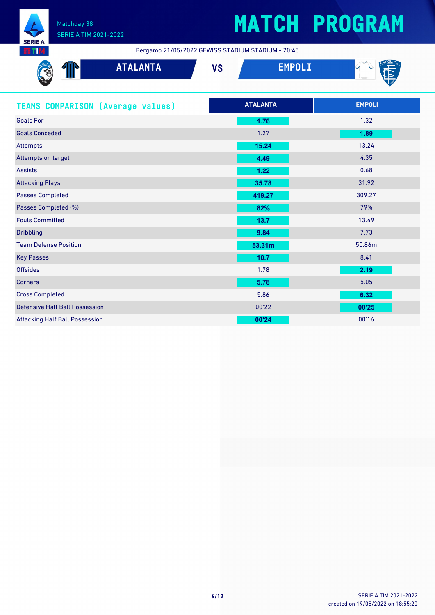

#### Matchday 38 SERIE A TIM 2021-2022

# **MATCH PROGRAM**

Bergamo 21/05/2022 GEWISS STADIUM STADIUM - 20:45

| <b>AND THE THE TWO THE TWO THE TWO THE TWO THE TWO THE TWO THE TWO THE TWO THE TWO THE TWO THE TWO THE TWO THE TWO THE TWO THE TWO THE TWO THE TWO THE TWO THE TWO THE TWO THE TWO THE TWO THE TWO THE TWO THE TWO THE TWO THE T</b> | w | <b>AMTA</b><br><b>AIALANIA</b> | $\mathbf{u}$<br>79 | J.<br>$\sim$<br>$-$ |
|--------------------------------------------------------------------------------------------------------------------------------------------------------------------------------------------------------------------------------------|---|--------------------------------|--------------------|---------------------|
|                                                                                                                                                                                                                                      |   |                                |                    |                     |

| <b>TEAMS COMPARISON [Average values]</b> | <b>ATALANTA</b> | <b>EMPOLI</b> |
|------------------------------------------|-----------------|---------------|
| <b>Goals For</b>                         | 1.76            | 1.32          |
| <b>Goals Conceded</b>                    | 1.27            | 1.89          |
| Attempts                                 | 15.24           | 13.24         |
| Attempts on target                       | 4.49            | 4.35          |
| <b>Assists</b>                           | 1.22            | 0.68          |
| <b>Attacking Plays</b>                   | 35.78           | 31.92         |
| <b>Passes Completed</b>                  | 419.27          | 309.27        |
| Passes Completed (%)                     | 82%             | 79%           |
| <b>Fouls Committed</b>                   | 13.7            | 13.49         |
| <b>Dribbling</b>                         | 9.84            | 7.73          |
| <b>Team Defense Position</b>             | 53.31m          | 50.86m        |
| <b>Key Passes</b>                        | 10.7            | 8.41          |
| <b>Offsides</b>                          | 1.78            | 2.19          |
| <b>Corners</b>                           | 5.78            | 5.05          |
| <b>Cross Completed</b>                   | 5.86            | 6.32          |
| <b>Defensive Half Ball Possession</b>    | 00'22           | 00'25         |
| <b>Attacking Half Ball Possession</b>    | 00'24           | 00'16         |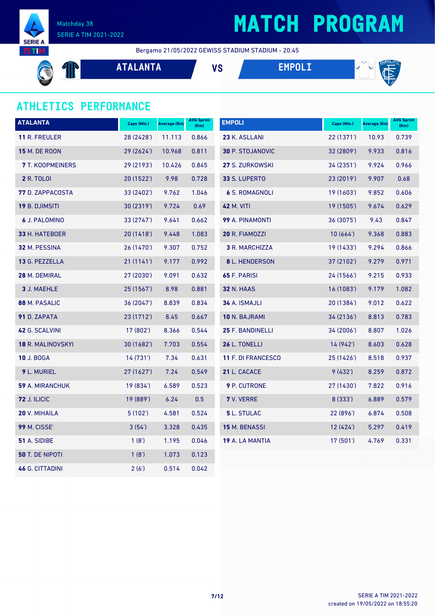

Matchday 38 SERIE A TIM 2021-2022

## **MATCH PROGRAM**

Bergamo 21/05/2022 GEWISS STADIUM STADIUM - 20:45

**ATALANTA VS EMPOLI**  $\mathbb{P}$ 

### **ATHLETICS PERFORMANCE**

| <b>ATALANTA</b>         | Caps (Min.) | Average (Km) | <b>AVG Sprint</b><br>(Km) | <b>EMPOLI</b>           | Caps (Min.) | Average (Km) | <b>AVG Sprint</b><br>(Km) |
|-------------------------|-------------|--------------|---------------------------|-------------------------|-------------|--------------|---------------------------|
| <b>11 R. FREULER</b>    | 28 (2428')  | 11.113       | 0.866                     | 23 K. ASLLANI           | 22 (1371')  | 10.93        | 0.739                     |
| <b>15 M. DE ROON</b>    | 29 (2624')  | 10.968       | 0.811                     | <b>30 P. STOJANOVIC</b> | 32 (2809')  | 9.933        | 0.816                     |
| <b>7</b> T. KOOPMEINERS | 29 (2193')  | 10.426       | 0.845                     | 27 S. ZURKOWSKI         | 34(2351)    | 9.924        | 0.966                     |
| <b>2</b> R. TOLOI       | 20 (1522')  | 9.98         | 0.728                     | 33 S. LUPERTO           | 23(2019)    | 9.907        | 0.68                      |
| 77 D. ZAPPACOSTA        | 33 (2402')  | 9.762        | 1.046                     | <b>6 S. ROMAGNOLI</b>   | 19(1603)    | 9.852        | 0.606                     |
| <b>19 B. DJIMSITI</b>   | 30 (2319')  | 9.724        | 0.69                      | <b>42 M. VITI</b>       | 19(1505)    | 9.674        | 0.629                     |
| 6 J. PALOMINO           | 33 (2747')  | 9.641        | 0.662                     | 99 A. PINAMONTI         | 36 (3075')  | 9.43         | 0.847                     |
| 33 H. HATEBOER          | 20(1418)    | 9.448        | 1.083                     | 20 R. FIAMOZZI          | 10(664)     | 9.368        | 0.883                     |
| 32 M. PESSINA           | 26 (1470')  | 9.307        | 0.752                     | 3 R. MARCHIZZA          | 19 (1433')  | 9.294        | 0.866                     |
| 13 G. PEZZELLA          | 21(1141)    | 9.177        | 0.992                     | <b>8</b> L. HENDERSON   | 37 (2102')  | 9.279        | 0.971                     |
| 28 M. DEMIRAL           | 27 (2030')  | 9.091        | 0.632                     | <b>65 F. PARISI</b>     | 24(1566)    | 9.215        | 0.933                     |
| 3 J. MAEHLE             | 25 (1567')  | 8.98         | 0.881                     | <b>32 N. HAAS</b>       | 16 (1083')  | 9.179        | 1.082                     |
| 88 M. PASALIC           | 36 (2047')  | 8.839        | 0.834                     | 34 A. ISMAJLI           | 20 (1384')  | 9.012        | 0.622                     |
| 91 D. ZAPATA            | 23 (1712')  | 8.45         | 0.667                     | <b>10 N. BAJRAMI</b>    | 34 (2136')  | 8.813        | 0.783                     |
| 42 G. SCALVINI          | 17 (802')   | 8.366        | 0.544                     | 25 F. BANDINELLI        | 34(2006)    | 8.807        | 1.026                     |
| 18 R. MALINOVSKYI       | 30 (1682')  | 7.703        | 0.554                     | 26 L. TONELLI           | 14 (942')   | 8.603        | 0.628                     |
| <b>10 J. BOGA</b>       | 14 (731')   | 7.34         | 0.631                     | 11 F. DI FRANCESCO      | 25 (1426')  | 8.518        | 0.937                     |
| 9 L. MURIEL             | 27 (1627')  | 7.24         | 0.549                     | 21 L. CACACE            | 9(432)      | 8.259        | 0.872                     |
| 59 A. MIRANCHUK         | 19 (834')   | 6.589        | 0.523                     | <b>9</b> P. CUTRONE     | 27 (1430')  | 7.822        | 0.916                     |
| <b>72 J. ILICIC</b>     | 19 (889')   | 6.24         | 0.5                       | 7 V. VERRE              | 8(333)      | 6.889        | 0.579                     |
| 20 V. MIHAILA           | 5 (102')    | 4.581        | 0.524                     | <b>5</b> L. STULAC      | 22 (896')   | 6.874        | 0.508                     |
| <b>99 M. CISSE'</b>     | 3(54)       | 3.328        | 0.435                     | <b>15 M. BENASSI</b>    | 12(424)     | 5.297        | 0.419                     |
| 51 A. SIDIBE            | 1(8')       | 1.195        | 0.046                     | 19 A. LA MANTIA         | 17(501)     | 4.769        | 0.331                     |
| <b>50 T. DE NIPOTI</b>  | 1(8')       | 1.073        | 0.123                     |                         |             |              |                           |
| <b>46 G. CITTADINI</b>  | 2(6')       | 0.514        | 0.042                     |                         |             |              |                           |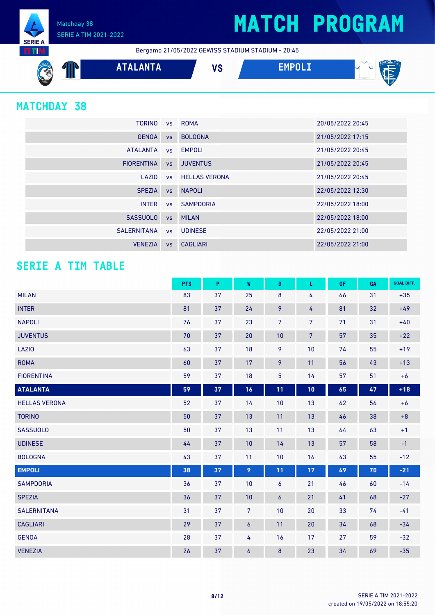Matchday 38 SERIE A TIM 2021-2022 **SERIE A** 

Bergamo 21/05/2022 GEWISS STADIUM STADIUM - 20:45



### **MATCHDAY 38**

**NITE** 

| <b>TORINO</b>     |           | vs ROMA                 | 20/05/2022 20:45 |
|-------------------|-----------|-------------------------|------------------|
| <b>GENOA</b>      | <b>VS</b> | <b>BOLOGNA</b>          | 21/05/2022 17:15 |
| <b>ATALANTA</b>   |           | vs EMPOLI               | 21/05/2022 20:45 |
| <b>FIORENTINA</b> | VS        | <b>JUVENTUS</b>         | 21/05/2022 20:45 |
| LAZIO             |           | <b>vs</b> HELLAS VERONA | 21/05/2022 20:45 |
| <b>SPEZIA</b>     | <b>VS</b> | <b>NAPOLI</b>           | 22/05/2022 12:30 |
| <b>INTER</b>      |           | vs SAMPDORIA            | 22/05/2022 18:00 |
| <b>SASSUOLO</b>   | <b>VS</b> | <b>MILAN</b>            | 22/05/2022 18:00 |
| SALERNITANA       |           | vs UDINESE              | 22/05/2022 21:00 |
| <b>VENEZIA</b>    | <b>VS</b> | CAGLIARI                | 22/05/2022 21:00 |

### **SERIE A TIM TABLE**

|                      | <b>PTS</b> | P  | W                | D              | L              | <b>GF</b> | GA | <b>GOAL DIFF.</b> |
|----------------------|------------|----|------------------|----------------|----------------|-----------|----|-------------------|
| <b>MILAN</b>         | 83         | 37 | 25               | 8              | 4              | 66        | 31 | $+35$             |
| <b>INTER</b>         | 81         | 37 | 24               | 9              | 4              | 81        | 32 | $+49$             |
| <b>NAPOLI</b>        | 76         | 37 | 23               | 7 <sup>5</sup> | 7              | 71        | 31 | $+40$             |
| <b>JUVENTUS</b>      | 70         | 37 | 20               | 10             | $\overline{7}$ | 57        | 35 | $+22$             |
| LAZI0                | 63         | 37 | 18               | 9              | 10             | 74        | 55 | $+19$             |
| <b>ROMA</b>          | 60         | 37 | 17               | 9              | 11             | 56        | 43 | $+13$             |
| <b>FIORENTINA</b>    | 59         | 37 | 18               | 5              | 14             | 57        | 51 | $+6$              |
| <b>ATALANTA</b>      | 59         | 37 | 16               | 11             | 10             | 65        | 47 | $+18$             |
| <b>HELLAS VERONA</b> | 52         | 37 | 14               | 10             | 13             | 62        | 56 | $+6$              |
| <b>TORINO</b>        | 50         | 37 | 13               | 11             | 13             | 46        | 38 | $+8$              |
| <b>SASSUOLO</b>      | 50         | 37 | 13               | 11             | 13             | 64        | 63 | $+1$              |
| <b>UDINESE</b>       | 44         | 37 | 10               | 14             | 13             | 57        | 58 | $-1$              |
| <b>BOLOGNA</b>       | 43         | 37 | 11               | 10             | 16             | 43        | 55 | $-12$             |
| <b>EMPOLI</b>        | 38         | 37 | 9                | 11             | 17             | 49        | 70 | $-21$             |
| <b>SAMPDORIA</b>     | 36         | 37 | 10               | 6              | 21             | 46        | 60 | $-14$             |
| <b>SPEZIA</b>        | 36         | 37 | 10               | 6              | 21             | 41        | 68 | $-27$             |
| <b>SALERNITANA</b>   | 31         | 37 | $\overline{7}$   | 10             | 20             | 33        | 74 | $-41$             |
| <b>CAGLIARI</b>      | 29         | 37 | $\boldsymbol{6}$ | 11             | 20             | 34        | 68 | $-34$             |
| <b>GENOA</b>         | 28         | 37 | 4                | 16             | 17             | 27        | 59 | $-32$             |
| <b>VENEZIA</b>       | 26         | 37 | 6                | 8              | 23             | 34        | 69 | $-35$             |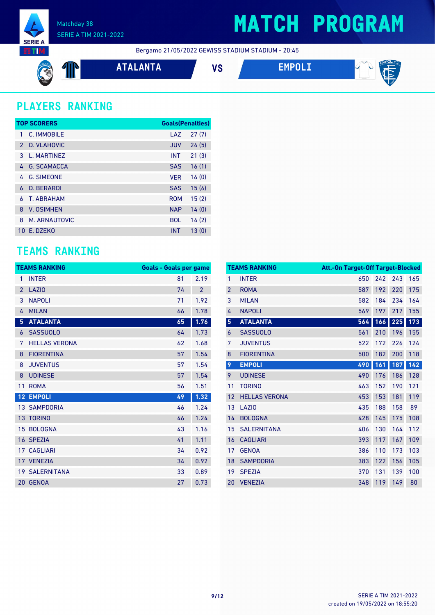

Bergamo 21/05/2022 GEWISS STADIUM STADIUM - 20:45

$$
\bigcircled{\textcolor{red}{\bigcirc}} \ \ \P
$$

**ATALANTA VS EMPOLI**



### **PLAYERS RANKING**

|               | <b>TOP SCORERS</b> | <b>Goals(Penalties)</b> |       |
|---------------|--------------------|-------------------------|-------|
| 1             | C. IMMOBILE        | LAZ                     | 27(7) |
| $\mathcal{P}$ | D. VLAHOVIC        | <b>JUV</b>              | 24(5) |
| 3             | L. MARTINFZ        | <b>INT</b>              | 21(3) |
| 4             | <b>G. SCAMACCA</b> | <b>SAS</b>              | 16(1) |
| 4             | <b>G. SIMEONE</b>  | <b>VFR</b>              | 16(0) |
| 6             | <b>D. BERARDI</b>  | <b>SAS</b>              | 15(6) |
| 6             | <b>T. ABRAHAM</b>  | <b>ROM</b>              | 15(2) |
| 8             | <b>V. OSIMHEN</b>  | <b>NAP</b>              | 14(0) |
| 8             | M. ARNAUTOVIC      | <b>BOL</b>              | 14(2) |
| 10.           | F. DZFKO           | <b>INT</b>              | 13(0) |

### **TEAMS RANKING**

|                | <b>TEAMS RANKING</b>  | <b>Goals - Goals per game</b> |                |
|----------------|-----------------------|-------------------------------|----------------|
| 1              | <b>INTER</b>          | 81                            | 2.19           |
| $\overline{2}$ | <b>LAZIO</b>          | 74                            | $\overline{2}$ |
| 3              | <b>NAPOLI</b>         | 71                            | 1.92           |
| 4              | <b>MILAN</b>          | 66                            | 1.78           |
| 5              | <b>ATALANTA</b>       | 65                            | 1.76           |
| 6              | <b>SASSUOLO</b>       | 64                            | 1.73           |
| 7              | <b>HELLAS VERONA</b>  | 62                            | 1.68           |
| 8              | <b>FIORENTINA</b>     | 57                            | 1.54           |
| 8              | <b>JUVENTUS</b>       | 57                            | 1.54           |
| 8              | <b>UDINESE</b>        | 57                            | 1.54           |
| 11             | <b>ROMA</b>           | 56                            | 1.51           |
| 12             | <b>EMPOLI</b>         | 49                            | 1.32           |
|                | <b>13 SAMPDORIA</b>   | 46                            | 1.24           |
|                | <b>13 TORINO</b>      | 46                            | 1.24           |
| 15             | <b>BOLOGNA</b>        | 43                            | 1.16           |
| 16             | <b>SPEZIA</b>         | 41                            | 1.11           |
|                | <b>17 CAGLIARI</b>    | 34                            | 0.92           |
|                | 17 VENEZIA            | 34                            | 0.92           |
|                | <b>19 SALERNITANA</b> | 33                            | 0.89           |
| 20             | <b>GENOA</b>          | 27                            | 0.73           |

|                | <b>TEAMS RANKING</b> | <b>Att.-On Target-Off Target-Blocked</b> |     |     |     |
|----------------|----------------------|------------------------------------------|-----|-----|-----|
| 1              | <b>INTER</b>         | 650                                      | 242 | 243 | 165 |
| $\overline{2}$ | <b>ROMA</b>          | 587                                      | 192 | 220 | 175 |
| 3              | <b>MILAN</b>         | 582                                      | 184 | 234 | 164 |
| 4              | <b>NAPOLI</b>        | 569                                      | 197 | 217 | 155 |
| 5              | <b>ATALANTA</b>      | 564                                      | 166 | 225 | 173 |
| 6              | <b>SASSUOLO</b>      | 561                                      | 210 | 196 | 155 |
| 7              | <b>JUVENTUS</b>      | 522                                      | 172 | 226 | 124 |
| 8              | <b>FIORENTINA</b>    | 500                                      | 182 | 200 | 118 |
| 9              | <b>EMPOLI</b>        | 490                                      | 161 | 187 | 142 |
| 9              | <b>UDINESE</b>       | 490                                      | 176 | 186 | 128 |
| 11             | <b>TORINO</b>        | 463                                      | 152 | 190 | 121 |
| 12             | <b>HELLAS VERONA</b> | 453                                      | 153 | 181 | 119 |
| 13             | LAZI <sub>0</sub>    | 435                                      | 188 | 158 | 89  |
| 14             | <b>BOLOGNA</b>       | 428                                      | 145 | 175 | 108 |
| 15             | <b>SALERNITANA</b>   | 406                                      | 130 | 164 | 112 |
| 16             | <b>CAGLIARI</b>      | 393                                      | 117 | 167 | 109 |
| 17             | <b>GENOA</b>         | 386                                      | 110 | 173 | 103 |
| 18             | <b>SAMPDORIA</b>     | 383                                      | 122 | 156 | 105 |
| 19             | <b>SPEZIA</b>        | 370                                      | 131 | 139 | 100 |
| 20             | <b>VENEZIA</b>       | 348                                      | 119 | 149 | 80  |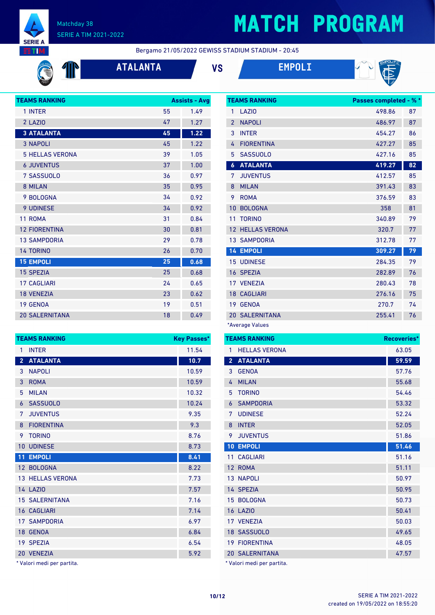

C

#### Matchday 38 SERIE A TIM 2021-2022

## **MATCH PROGRAM**

Bergamo 21/05/2022 GEWISS STADIUM STADIUM - 20:45





| <b>TEAMS RANKING</b>   |    | <b>Assists - Avg</b> |
|------------------------|----|----------------------|
| 1 INTER                | 55 | 1.49                 |
| 2 LAZIO                | 47 | 1.27                 |
| <b>3 ATALANTA</b>      | 45 | 1.22                 |
| <b>3 NAPOLI</b>        | 45 | 1.22                 |
| <b>5 HELLAS VERONA</b> | 39 | 1.05                 |
| <b>6 JUVENTUS</b>      | 37 | 1.00                 |
| 7 SASSUOLO             | 36 | 0.97                 |
| 8 MILAN                | 35 | 0.95                 |
| 9 BOLOGNA              | 34 | 0.92                 |
| <b>9 UDINESE</b>       | 34 | 0.92                 |
| 11 ROMA                | 31 | 0.84                 |
| <b>12 FIORENTINA</b>   | 30 | 0.81                 |
| <b>13 SAMPDORIA</b>    | 29 | 0.78                 |
| <b>14 TORINO</b>       | 26 | 0.70                 |
| <b>15 EMPOLI</b>       | 25 | 0.68                 |
| <b>15 SPEZIA</b>       | 25 | 0.68                 |
| <b>17 CAGLIARI</b>     | 24 | 0.65                 |
| <b>18 VENEZIA</b>      | 23 | 0.62                 |
| 19 GENOA               | 19 | 0.51                 |
| <b>20 SALERNITANA</b>  | 18 | 0.49                 |

|                | <b>TEAMS RANKING</b>    | <b>Key Passes*</b> |
|----------------|-------------------------|--------------------|
| 1              | <b>INTER</b>            | 11.54              |
| $\overline{2}$ | <b>ATALANTA</b>         | 10.7               |
| 3              | <b>NAPOLI</b>           | 10.59              |
| 3              | <b>ROMA</b>             | 10.59              |
| 5              | <b>MILAN</b>            | 10.32              |
| 6              | <b>SASSUOLO</b>         | 10.24              |
| 7              | <b>JUVENTUS</b>         | 9.35               |
| 8              | <b>FIORENTINA</b>       | 9.3                |
| 9              | <b>TORINO</b>           | 8.76               |
| 10             | <b>UDINESE</b>          | 8.73               |
| 11             | <b>EMPOLI</b>           | 8.41               |
|                | 12 BOLOGNA              | 8.22               |
|                | <b>13 HELLAS VERONA</b> | 7.73               |
|                | <b>14 LAZIO</b>         | 7.57               |
|                | <b>15 SALERNITANA</b>   | 7.16               |
|                | <b>16 CAGLIARI</b>      | 7.14               |
|                | <b>17 SAMPDORIA</b>     | 6.97               |
|                | 18 GENOA                | 6.84               |
|                | 19 SPEZIA               | 6.54               |
| 20             | <b>VENEZIA</b>          | 5.92               |

\* Valori medi per partita.

|                  | <b>TEAMS RANKING</b> | <b>Passes completed - % *</b> |    |
|------------------|----------------------|-------------------------------|----|
| 1                | LAZI <sub>0</sub>    | 498.86                        | 87 |
| $\overline{2}$   | <b>NAPOLI</b>        | 486.97                        | 87 |
| 3                | <b>INTER</b>         | 454.27                        | 86 |
| 4                | <b>FIORENTINA</b>    | 427.27                        | 85 |
| 5                | <b>SASSUOLO</b>      | 427.16                        | 85 |
| $\boldsymbol{6}$ | <b>ATALANTA</b>      | 419.27                        | 82 |
| 7                | <b>JUVENTUS</b>      | 412.57                        | 85 |
| 8                | <b>MILAN</b>         | 391.43                        | 83 |
| 9                | <b>ROMA</b>          | 376.59                        | 83 |
| 10               | <b>BOLOGNA</b>       | 358                           | 81 |
| 11               | <b>TORINO</b>        | 340.89                        | 79 |
| 12               | <b>HELLAS VERONA</b> | 320.7                         | 77 |
|                  | <b>13 SAMPDORIA</b>  | 312.78                        | 77 |
|                  | <b>14 EMPOLI</b>     | 309.27                        | 79 |
| 15               | <b>UDINESE</b>       | 284.35                        | 79 |
|                  | 16 SPEZIA            | 282.89                        | 76 |
|                  | 17 VENEZIA           | 280.43                        | 78 |
|                  | <b>18 CAGLIARI</b>   | 276.16                        | 75 |
| 19               | <b>GENOA</b>         | 270.7                         | 74 |
| 20               | <b>SALERNITANA</b>   | 255.41                        | 76 |
|                  | *Average Values      |                               |    |

| <b>TEAMS RANKING</b> | <b>Recoveries*</b>         |       |
|----------------------|----------------------------|-------|
| 1                    | <b>HELLAS VERONA</b>       | 63.05 |
| 2 <sup>1</sup>       | <b>ATALANTA</b>            | 59.59 |
| 3                    | <b>GENOA</b>               | 57.76 |
| 4                    | <b>MILAN</b>               | 55.68 |
| 5                    | <b>TORINO</b>              | 54.46 |
| 6                    | <b>SAMPDORIA</b>           | 53.32 |
| 7                    | <b>UDINESE</b>             | 52.24 |
| 8                    | <b>INTER</b>               | 52.05 |
| 9                    | <b>JUVENTUS</b>            | 51.86 |
|                      | <b>10 EMPOLI</b>           | 51.46 |
| 11                   | <b>CAGLIARI</b>            | 51.16 |
|                      | 12 ROMA                    | 51.11 |
|                      | <b>13 NAPOLI</b>           | 50.97 |
|                      | 14 SPEZIA                  | 50.95 |
|                      | 15 BOLOGNA                 | 50.73 |
|                      | <b>16 LAZIO</b>            | 50.41 |
|                      | 17 VENEZIA                 | 50.03 |
|                      | 18 SASSUOLO                | 49.65 |
|                      | <b>19 FIORENTINA</b>       | 48.05 |
|                      | <b>20 SALERNITANA</b>      | 47.57 |
|                      | * Valori medi per partita. |       |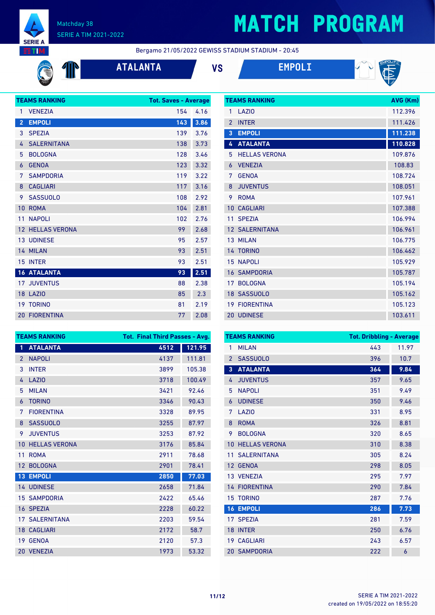

#### Matchday 38 SERIE A TIM 2021-2022

# **MATCH PROGRAM**

Bergamo 21/05/2022 GEWISS STADIUM STADIUM - 20:45

 $\mathbb{P}$ 

### **ATALANTA VS EMPOLI**



|                   | <b>TEAMS RANKING</b> | <b>Tot. Saves - Average</b> |      |
|-------------------|----------------------|-----------------------------|------|
| 1                 | <b>VENEZIA</b>       | 154                         | 4.16 |
| $\overline{2}$    | <b>EMPOLI</b>        | 143                         | 3.86 |
| 3                 | <b>SPEZIA</b>        | 139                         | 3.76 |
| 4                 | <b>SALERNITANA</b>   | 138                         | 3.73 |
| 5                 | <b>BOLOGNA</b>       | 128                         | 3.46 |
| 6                 | <b>GENOA</b>         | 123                         | 3.32 |
| 7                 | <b>SAMPDORIA</b>     | 119                         | 3.22 |
| 8                 | <b>CAGLIARI</b>      | 117                         | 3.16 |
| 9                 | <b>SASSUOLO</b>      | 108                         | 2.92 |
| 10                | <b>ROMA</b>          | 104                         | 2.81 |
| 11                | <b>NAPOLI</b>        | 102                         | 2.76 |
| $12 \overline{ }$ | <b>HELLAS VERONA</b> | 99                          | 2.68 |
|                   | <b>13 UDINESE</b>    | 95                          | 2.57 |
|                   | 14 MILAN             | 93                          | 2.51 |
| 15                | <b>INTER</b>         | 93                          | 2.51 |
|                   | <b>16 ATALANTA</b>   | 93                          | 2.51 |
|                   | <b>17 JUVENTUS</b>   | 88                          | 2.38 |
|                   | 18 LAZIO             | 85                          | 2.3  |
|                   | <b>19 TORINO</b>     | 81                          | 2.19 |
|                   | <b>20 FIORENTINA</b> | 77                          | 2.08 |

|                | <b>TEAMS RANKING</b>  | AVG (Km) |
|----------------|-----------------------|----------|
| 1              | LAZI <sub>0</sub>     | 112.396  |
| $\overline{2}$ | <b>INTER</b>          | 111.426  |
| $\overline{3}$ | <b>EMPOLI</b>         | 111.238  |
| 4              | <b>ATALANTA</b>       | 110.828  |
| 5              | <b>HELLAS VERONA</b>  | 109.876  |
| 6              | <b>VENEZIA</b>        | 108.83   |
| 7              | <b>GENOA</b>          | 108.724  |
| 8              | <b>JUVENTUS</b>       | 108.051  |
| 9              | <b>ROMA</b>           | 107.961  |
| 10             | <b>CAGLIARI</b>       | 107.388  |
| 11             | <b>SPEZIA</b>         | 106.994  |
|                | <b>12 SALERNITANA</b> | 106.961  |
|                | 13 MILAN              | 106.775  |
|                | 14 TORINO             | 106.462  |
| 15             | <b>NAPOLI</b>         | 105.929  |
| 16             | <b>SAMPDORIA</b>      | 105.787  |
| 17             | <b>BOLOGNA</b>        | 105.194  |
|                | 18 SASSUOLO           | 105.162  |
| 19             | <b>FIORENTINA</b>     | 105.123  |
|                | 20 UDINESE            | 103.611  |

| <b>TEAMS RANKING</b> |                      | <b>Tot. Final Third Passes - Avg.</b> |        |  |
|----------------------|----------------------|---------------------------------------|--------|--|
| 1                    | <b>ATALANTA</b>      | 4512                                  | 121.95 |  |
| $\overline{2}$       | <b>NAPOLI</b>        | 4137                                  | 111.81 |  |
| 3                    | <b>INTER</b>         | 3899                                  | 105.38 |  |
| 4                    | <b>LAZIO</b>         | 3718                                  | 100.49 |  |
| 5                    | <b>MILAN</b>         | 3421                                  | 92.46  |  |
| 6                    | <b>TORINO</b>        | 3346                                  | 90.43  |  |
| 7                    | <b>FIORENTINA</b>    | 3328                                  | 89.95  |  |
| 8                    | <b>SASSUOLO</b>      | 3255                                  | 87.97  |  |
| 9                    | <b>JUVENTUS</b>      | 3253                                  | 87.92  |  |
| 10                   | <b>HELLAS VERONA</b> | 3176                                  | 85.84  |  |
| 11                   | <b>ROMA</b>          | 2911                                  | 78.68  |  |
| 12 <sup>2</sup>      | <b>BOLOGNA</b>       | 2901                                  | 78.41  |  |
| 13 <sup>°</sup>      | <b>EMPOLI</b>        | 2850                                  | 77.03  |  |
|                      | 14 UDINESE           | 2658                                  | 71.84  |  |
| 15 <sup>1</sup>      | <b>SAMPDORIA</b>     | 2422                                  | 65.46  |  |
|                      | 16 SPEZIA            | 2228                                  | 60.22  |  |
| 17 <sup>1</sup>      | <b>SALERNITANA</b>   | 2203                                  | 59.54  |  |
|                      | <b>18 CAGLIARI</b>   | 2172                                  | 58.7   |  |
| 19                   | <b>GENOA</b>         | 2120                                  | 57.3   |  |
|                      | 20 VENEZIA           | 1973                                  | 53.32  |  |

|                | <b>TEAMS RANKING</b> | <b>Tot. Dribbling - Average</b> |       |
|----------------|----------------------|---------------------------------|-------|
| 1              | <b>MILAN</b>         | 443                             | 11.97 |
| $\overline{2}$ | <b>SASSUOLO</b>      | 396                             | 10.7  |
| $\overline{3}$ | <b>ATALANTA</b>      | 364                             | 9.84  |
| 4              | <b>JUVENTUS</b>      | 357                             | 9.65  |
| 5              | <b>NAPOLI</b>        | 351                             | 9.49  |
| 6              | <b>UDINESE</b>       | 350                             | 9.46  |
| 7              | LAZI <sub>0</sub>    | 331                             | 8.95  |
| 8              | <b>ROMA</b>          | 326                             | 8.81  |
| 9              | <b>BOLOGNA</b>       | 320                             | 8.65  |
| 10             | <b>HELLAS VERONA</b> | 310                             | 8.38  |
| 11             | <b>SALERNITANA</b>   | 305                             | 8.24  |
| 12             | <b>GENOA</b>         | 298                             | 8.05  |
|                | 13 VENEZIA           | 295                             | 7.97  |
|                | <b>14 FIORENTINA</b> | 290                             | 7.84  |
| 15             | <b>TORINO</b>        | 287                             | 7.76  |
| 16             | <b>EMPOLI</b>        | 286                             | 7.73  |
| 17             | <b>SPEZIA</b>        | 281                             | 7.59  |
| 18             | <b>INTER</b>         | 250                             | 6.76  |
| 19             | <b>CAGLIARI</b>      | 243                             | 6.57  |
|                | <b>20 SAMPDORIA</b>  | 222                             | 6     |